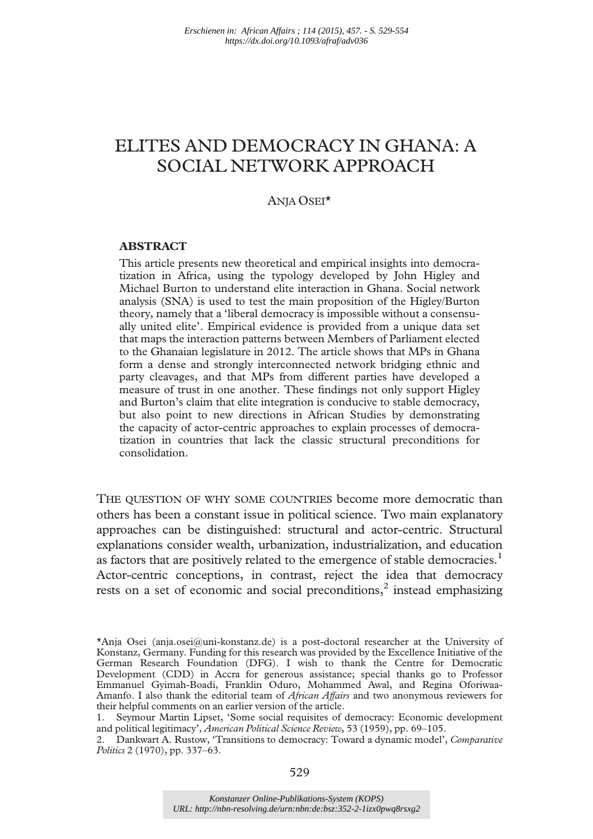# ELITES AND DEMOCRACY IN GHANA: A SOCIAL NETWORK APPROACH

# ANJA OSEI\*

#### ABSTRACT

This article presents new theoretical and empirical insights into democratization in Africa, using the typology developed by John Higley and Michael Burton to understand elite interaction in Ghana. Social network analysis (SNA) is used to test the main proposition of the Higley/Burton theory, namely that a 'liberal democracy is impossible without a consensually united elite'. Empirical evidence is provided from a unique data set that maps the interaction patterns between Members of Parliament elected to the Ghanaian legislature in 2012. The article shows that MPs in Ghana form a dense and strongly interconnected network bridging ethnic and party cleavages, and that MPs from different parties have developed a measure of trust in one another. These findings not only support Higley and Burton's claim that elite integration is conducive to stable democracy, but also point to new directions in African Studies by demonstrating the capacity of actor-centric approaches to explain processes of democratization in countries that lack the classic structural preconditions for consolidation.

THE QUESTION OF WHY SOME COUNTRIES become more democratic than others has been a constant issue in political science. Two main explanatory approaches can be distinguished: structural and actor-centric. Structural explanations consider wealth, urbanization, industrialization, and education as factors that are positively related to the emergence of stable democracies.<sup>1</sup> Actor-centric conceptions, in contrast, reject the idea that democracy rests on a set of economic and social preconditions,<sup>2</sup> instead emphasizing

<sup>\*</sup>Anja Osei (anja.osei@uni-konstanz.de) is a post-doctoral researcher at the University of Konstanz, Germany. Funding for this research was provided by the Excellence Initiative of the German Research Foundation (DFG). I wish to thank the Centre for Democratic Development (CDD) in Accra for generous assistance; special thanks go to Professor Emmanuel Gyimah-Boadi, Franklin Oduro, Mohammed Awal, and Regina Oforiwaa-Amanfo. I also thank the editorial team of *African Affairs* and two anonymous reviewers for their helpful comments on an earlier version of the article.

<sup>1.</sup> Seymour Martin Lipset, 'Some social requisites of democracy: Economic development and political legitimacy', *American Political Science Review*, 53 (1959), pp. 69–105.

<sup>2.</sup> Dankwart A. Rustow, 'Transitions to democracy: Toward a dynamic model', *Comparative Politics* 2 (1970), pp. 337–63.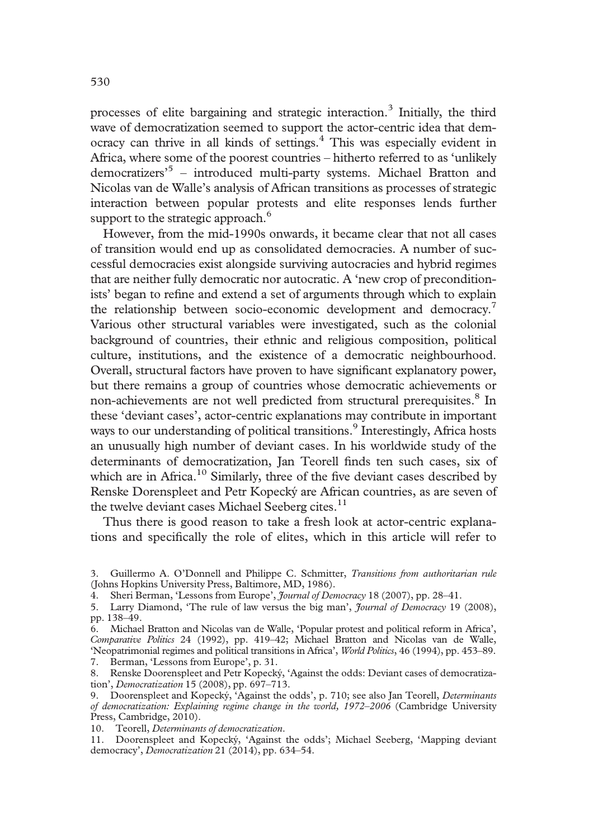processes of elite bargaining and strategic interaction.<sup>3</sup> Initially, the third wave of democratization seemed to support the actor-centric idea that democracy can thrive in all kinds of settings.<sup>4</sup> This was especially evident in Africa, where some of the poorest countries – hitherto referred to as 'unlikely democratizers' 5 – introduced multi-party systems. Michael Bratton and Nicolas van de Walle's analysis of African transitions as processes of strategic interaction between popular protests and elite responses lends further support to the strategic approach.<sup>6</sup>

However, from the mid-1990s onwards, it became clear that not all cases of transition would end up as consolidated democracies. A number of successful democracies exist alongside surviving autocracies and hybrid regimes that are neither fully democratic nor autocratic. A 'new crop of preconditionists' began to refine and extend a set of arguments through which to explain the relationship between socio-economic development and democracy.<sup>7</sup> Various other structural variables were investigated, such as the colonial background of countries, their ethnic and religious composition, political culture, institutions, and the existence of a democratic neighbourhood. Overall, structural factors have proven to have significant explanatory power, but there remains a group of countries whose democratic achievements or non-achievements are not well predicted from structural prerequisites.<sup>8</sup> In these 'deviant cases', actor-centric explanations may contribute in important ways to our understanding of political transitions.<sup>9</sup> Interestingly, Africa hosts an unusually high number of deviant cases. In his worldwide study of the determinants of democratization, Jan Teorell finds ten such cases, six of which are in Africa.<sup>10</sup> Similarly, three of the five deviant cases described by Renske Dorenspleet and Petr Kopecký are African countries, as are seven of the twelve deviant cases Michael Seeberg cites. $^{11}$ 

Thus there is good reason to take a fresh look at actor-centric explanations and specifically the role of elites, which in this article will refer to

8. Renske Doorenspleet and Petr Kopecký, 'Against the odds: Deviant cases of democratization', *Democratization* 15 (2008), pp. 697–713.

9. Doorenspleet and Kopecký, 'Against the odds', p. 710; see also Jan Teorell, *Determinants of democratization: Explaining regime change in the world, 1972*–*2006* (Cambridge University Press, Cambridge, 2010).

10. Teorell, *Determinants of democratization*.

11. Doorenspleet and Kopecký, 'Against the odds'; Michael Seeberg, 'Mapping deviant democracy', *Democratization* 21 (2014), pp. 634–54.

<sup>3.</sup> Guillermo A. O'Donnell and Philippe C. Schmitter, *Transitions from authoritarian rule* (Johns Hopkins University Press, Baltimore, MD, 1986).

<sup>4.</sup> Sheri Berman, 'Lessons from Europe', *Journal of Democracy* 18 (2007), pp. 28–41.

<sup>5.</sup> Larry Diamond, 'The rule of law versus the big man', *Journal of Democracy* 19 (2008), pp. 138–49.

<sup>6.</sup> Michael Bratton and Nicolas van de Walle, 'Popular protest and political reform in Africa', *Comparative Politics* 24 (1992), pp. 419–42; Michael Bratton and Nicolas van de Walle, 'Neopatrimonial regimes and political transitions in Africa', *World Politics*, 46 (1994), pp. 453–89. 7. Berman, 'Lessons from Europe', p. 31.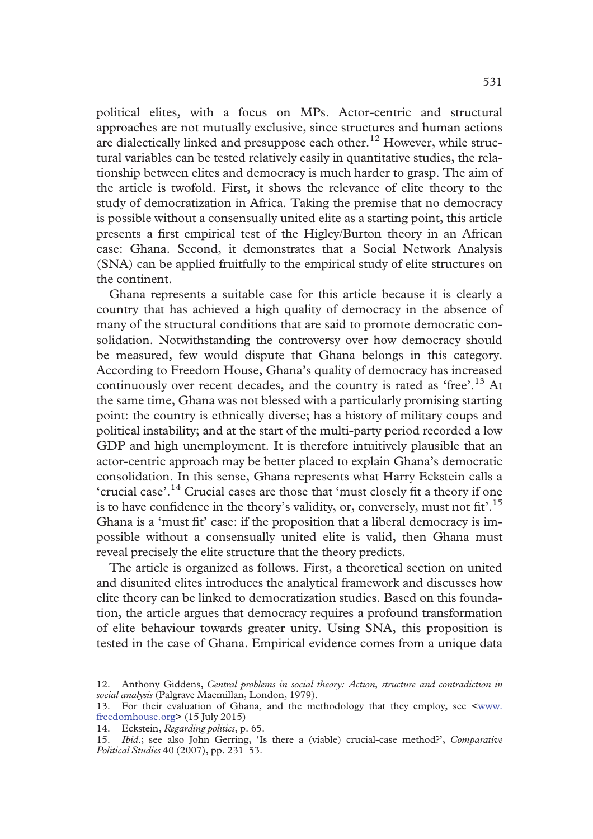political elites, with a focus on MPs. Actor-centric and structural approaches are not mutually exclusive, since structures and human actions are dialectically linked and presuppose each other.<sup>12</sup> However, while structural variables can be tested relatively easily in quantitative studies, the relationship between elites and democracy is much harder to grasp. The aim of the article is twofold. First, it shows the relevance of elite theory to the study of democratization in Africa. Taking the premise that no democracy is possible without a consensually united elite as a starting point, this article presents a first empirical test of the Higley/Burton theory in an African case: Ghana. Second, it demonstrates that a Social Network Analysis (SNA) can be applied fruitfully to the empirical study of elite structures on the continent.

Ghana represents a suitable case for this article because it is clearly a country that has achieved a high quality of democracy in the absence of many of the structural conditions that are said to promote democratic consolidation. Notwithstanding the controversy over how democracy should be measured, few would dispute that Ghana belongs in this category. According to Freedom House, Ghana's quality of democracy has increased continuously over recent decades, and the country is rated as 'free'.<sup>13</sup> At the same time, Ghana was not blessed with a particularly promising starting point: the country is ethnically diverse; has a history of military coups and political instability; and at the start of the multi-party period recorded a low GDP and high unemployment. It is therefore intuitively plausible that an actor-centric approach may be better placed to explain Ghana's democratic consolidation. In this sense, Ghana represents what Harry Eckstein calls a 'crucial case'.<sup>14</sup> Crucial cases are those that 'must closely fit a theory if one is to have confidence in the theory's validity, or, conversely, must not fit'.<sup>15</sup> Ghana is a 'must fit' case: if the proposition that a liberal democracy is impossible without a consensually united elite is valid, then Ghana must reveal precisely the elite structure that the theory predicts.

The article is organized as follows. First, a theoretical section on united and disunited elites introduces the analytical framework and discusses how elite theory can be linked to democratization studies. Based on this foundation, the article argues that democracy requires a profound transformation of elite behaviour towards greater unity. Using SNA, this proposition is tested in the case of Ghana. Empirical evidence comes from a unique data

<sup>12.</sup> Anthony Giddens, *Central problems in social theory: Action, structure and contradiction in social analysis* (Palgrave Macmillan, London, 1979).

<sup>13.</sup> For their evaluation of Ghana, and the methodology that they employ, see <www. freedomhouse.org> (15 July 2015)

<sup>14.</sup> Eckstein, *Regarding politics*, p. 65.

<sup>15.</sup> *Ibid*.; see also John Gerring, 'Is there a (viable) crucial-case method?', *Comparative Political Studies* 40 (2007), pp. 231–53.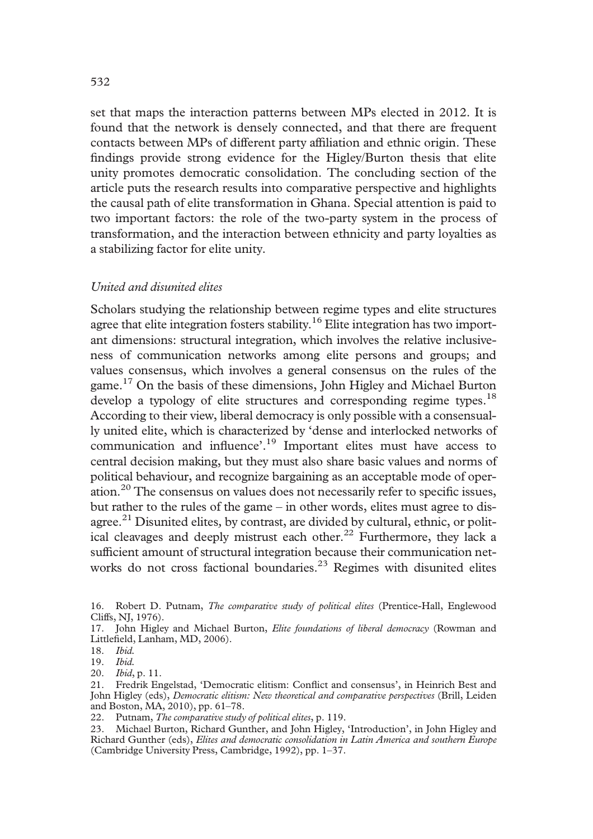set that maps the interaction patterns between MPs elected in 2012. It is found that the network is densely connected, and that there are frequent contacts between MPs of different party affiliation and ethnic origin. These findings provide strong evidence for the Higley/Burton thesis that elite unity promotes democratic consolidation. The concluding section of the article puts the research results into comparative perspective and highlights the causal path of elite transformation in Ghana. Special attention is paid to two important factors: the role of the two-party system in the process of transformation, and the interaction between ethnicity and party loyalties as a stabilizing factor for elite unity.

## *United and disunited elites*

Scholars studying the relationship between regime types and elite structures agree that elite integration fosters stability.<sup>16</sup> Elite integration has two important dimensions: structural integration, which involves the relative inclusiveness of communication networks among elite persons and groups; and values consensus, which involves a general consensus on the rules of the game.<sup>17</sup> On the basis of these dimensions, John Higley and Michael Burton develop a typology of elite structures and corresponding regime types.<sup>18</sup> According to their view, liberal democracy is only possible with a consensually united elite, which is characterized by 'dense and interlocked networks of communication and influence'.<sup>19</sup> Important elites must have access to central decision making, but they must also share basic values and norms of political behaviour, and recognize bargaining as an acceptable mode of operation.<sup>20</sup> The consensus on values does not necessarily refer to specific issues, but rather to the rules of the game – in other words, elites must agree to disagree.<sup>21</sup> Disunited elites, by contrast, are divided by cultural, ethnic, or political cleavages and deeply mistrust each other.<sup>22</sup> Furthermore, they lack a sufficient amount of structural integration because their communication networks do not cross factional boundaries.<sup>23</sup> Regimes with disunited elites

20. *Ibid*, p. 11.

<sup>16.</sup> Robert D. Putnam, *The comparative study of political elites* (Prentice-Hall, Englewood Cliffs, NJ, 1976).

<sup>17.</sup> John Higley and Michael Burton, *Elite foundations of liberal democracy* (Rowman and Littlefield, Lanham, MD, 2006).

<sup>18.</sup> *Ibid.*

<sup>19.</sup> *Ibid.*

<sup>21.</sup> Fredrik Engelstad, 'Democratic elitism: Conflict and consensus', in Heinrich Best and John Higley (eds), *Democratic elitism: New theoretical and comparative perspectives* (Brill, Leiden and Boston, MA, 2010), pp. 61–78.

<sup>22.</sup> Putnam, *The comparative study of political elites*, p. 119.

<sup>23.</sup> Michael Burton, Richard Gunther, and John Higley, 'Introduction', in John Higley and Richard Gunther (eds), *Elites and democratic consolidation in Latin America and southern Europe* (Cambridge University Press, Cambridge, 1992), pp. 1–37.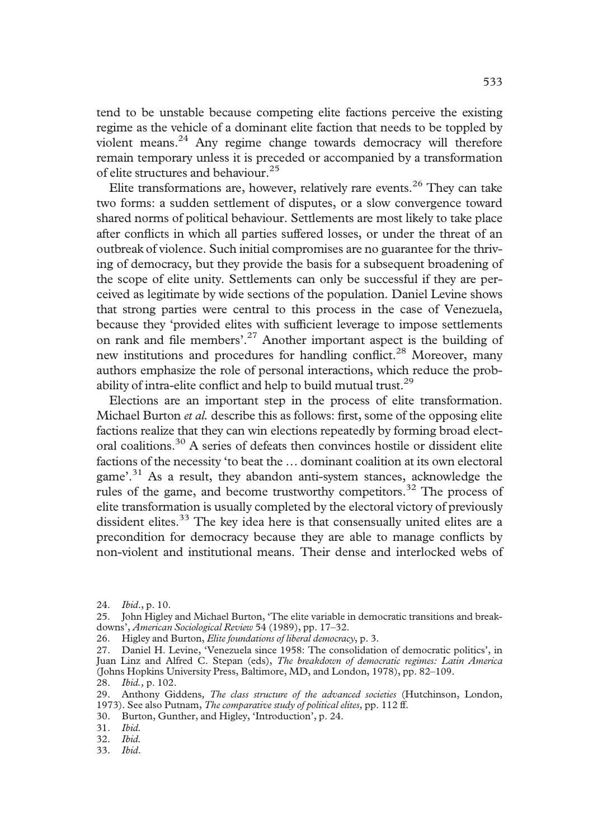tend to be unstable because competing elite factions perceive the existing regime as the vehicle of a dominant elite faction that needs to be toppled by violent means.<sup>24</sup> Any regime change towards democracy will therefore remain temporary unless it is preceded or accompanied by a transformation of elite structures and behaviour.<sup>25</sup>

Elite transformations are, however, relatively rare events.<sup>26</sup> They can take two forms: a sudden settlement of disputes, or a slow convergence toward shared norms of political behaviour. Settlements are most likely to take place after conflicts in which all parties suffered losses, or under the threat of an outbreak of violence. Such initial compromises are no guarantee for the thriving of democracy, but they provide the basis for a subsequent broadening of the scope of elite unity. Settlements can only be successful if they are perceived as legitimate by wide sections of the population. Daniel Levine shows that strong parties were central to this process in the case of Venezuela, because they 'provided elites with sufficient leverage to impose settlements on rank and file members'.<sup>27</sup> Another important aspect is the building of new institutions and procedures for handling conflict.<sup>28</sup> Moreover, many authors emphasize the role of personal interactions, which reduce the probability of intra-elite conflict and help to build mutual trust.<sup>29</sup>

Elections are an important step in the process of elite transformation. Michael Burton *et al.* describe this as follows: first, some of the opposing elite factions realize that they can win elections repeatedly by forming broad electoral coalitions.<sup>30</sup> A series of defeats then convinces hostile or dissident elite factions of the necessity 'to beat the … dominant coalition at its own electoral game'.<sup>31</sup> As a result, they abandon anti-system stances, acknowledge the rules of the game, and become trustworthy competitors.<sup>32</sup> The process of elite transformation is usually completed by the electoral victory of previously dissident elites.<sup>33</sup> The key idea here is that consensually united elites are a precondition for democracy because they are able to manage conflicts by non-violent and institutional means. Their dense and interlocked webs of

<sup>24.</sup> *Ibid*., p. 10.

<sup>25.</sup> John Higley and Michael Burton, 'The elite variable in democratic transitions and breakdowns', *American Sociological Review* 54 (1989), pp. 17–32.

<sup>26.</sup> Higley and Burton, *Elite foundations of liberal democracy*, p. 3.

<sup>27.</sup> Daniel H. Levine, 'Venezuela since 1958: The consolidation of democratic politics', in Juan Linz and Alfred C. Stepan (eds), *The breakdown of democratic regimes: Latin America* (Johns Hopkins University Press, Baltimore, MD, and London, 1978), pp. 82–109.

<sup>28.</sup> *Ibid.,* p. 102.

<sup>29.</sup> Anthony Giddens*, The class structure of the advanced societies* (Hutchinson, London, 1973). See also Putnam, *The comparative study of political elites,* pp. 112 ff.

<sup>30.</sup> Burton, Gunther, and Higley, 'Introduction', p. 24.

<sup>31.</sup> *Ibid.*

<sup>32.</sup> *Ibid.*

<sup>33.</sup> *Ibid*.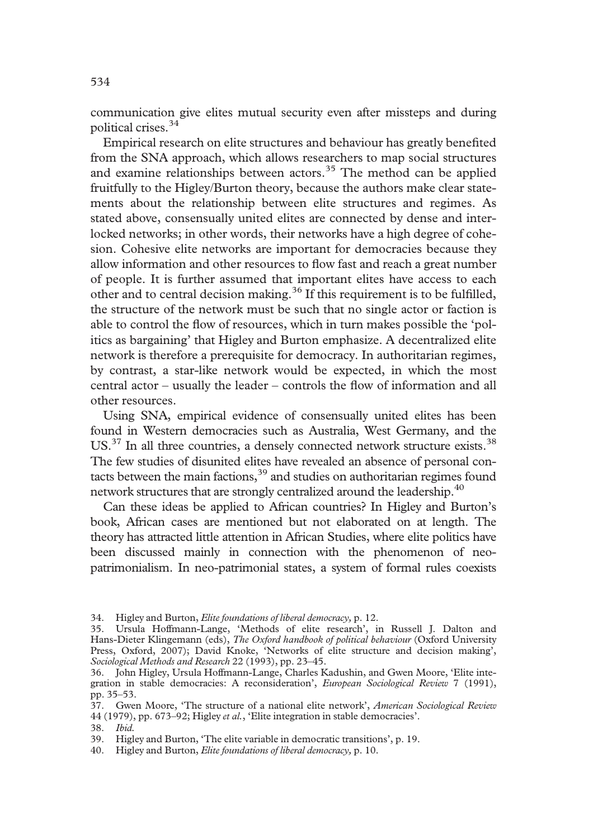communication give elites mutual security even after missteps and during political crises.<sup>34</sup>

Empirical research on elite structures and behaviour has greatly benefited from the SNA approach, which allows researchers to map social structures and examine relationships between actors.<sup>35</sup> The method can be applied fruitfully to the Higley/Burton theory, because the authors make clear statements about the relationship between elite structures and regimes. As stated above, consensually united elites are connected by dense and interlocked networks; in other words, their networks have a high degree of cohesion. Cohesive elite networks are important for democracies because they allow information and other resources to flow fast and reach a great number of people. It is further assumed that important elites have access to each other and to central decision making.<sup>36</sup> If this requirement is to be fulfilled, the structure of the network must be such that no single actor or faction is able to control the flow of resources, which in turn makes possible the 'politics as bargaining' that Higley and Burton emphasize. A decentralized elite network is therefore a prerequisite for democracy. In authoritarian regimes, by contrast, a star-like network would be expected, in which the most central actor – usually the leader – controls the flow of information and all other resources.

Using SNA, empirical evidence of consensually united elites has been found in Western democracies such as Australia, West Germany, and the US. $37$  In all three countries, a densely connected network structure exists.  $38$ The few studies of disunited elites have revealed an absence of personal contacts between the main factions, $39$  and studies on authoritarian regimes found network structures that are strongly centralized around the leadership.<sup>40</sup>

Can these ideas be applied to African countries? In Higley and Burton's book, African cases are mentioned but not elaborated on at length. The theory has attracted little attention in African Studies, where elite politics have been discussed mainly in connection with the phenomenon of neopatrimonialism. In neo-patrimonial states, a system of formal rules coexists

<sup>34.</sup> Higley and Burton, *Elite foundations of liberal democracy,* p. 12.

<sup>35.</sup> Ursula Hoffmann-Lange, 'Methods of elite research', in Russell J. Dalton and Hans-Dieter Klingemann (eds), *The Oxford handbook of political behaviour* (Oxford University Press, Oxford, 2007); David Knoke, 'Networks of elite structure and decision making', *Sociological Methods and Research* 22 (1993), pp. 23–45.

<sup>36.</sup> John Higley, Ursula Hoffmann-Lange, Charles Kadushin, and Gwen Moore, 'Elite integration in stable democracies: A reconsideration', *European Sociological Review* 7 (1991), pp. 35–53.

<sup>37.</sup> Gwen Moore, 'The structure of a national elite network', *American Sociological Review* 44 (1979), pp. 673–92; Higley *et al.*, 'Elite integration in stable democracies'.

<sup>38.</sup> *Ibid.*

<sup>39.</sup> Higley and Burton, 'The elite variable in democratic transitions', p. 19.

<sup>40.</sup> Higley and Burton, *Elite foundations of liberal democracy,* p. 10.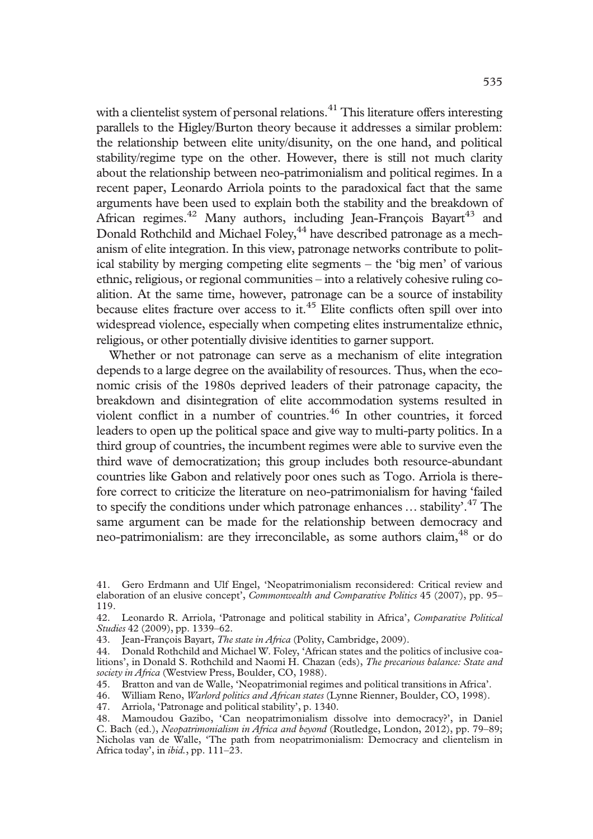with a clientelist system of personal relations.<sup>41</sup> This literature offers interesting parallels to the Higley/Burton theory because it addresses a similar problem: the relationship between elite unity/disunity, on the one hand, and political stability/regime type on the other. However, there is still not much clarity about the relationship between neo-patrimonialism and political regimes. In a recent paper, Leonardo Arriola points to the paradoxical fact that the same arguments have been used to explain both the stability and the breakdown of African regimes.<sup>42</sup> Many authors, including Jean-François Bayart<sup>43</sup> and Donald Rothchild and Michael Foley,<sup>44</sup> have described patronage as a mechanism of elite integration. In this view, patronage networks contribute to political stability by merging competing elite segments – the 'big men' of various ethnic, religious, or regional communities – into a relatively cohesive ruling coalition. At the same time, however, patronage can be a source of instability because elites fracture over access to it. $45$  Elite conflicts often spill over into widespread violence, especially when competing elites instrumentalize ethnic, religious, or other potentially divisive identities to garner support.

Whether or not patronage can serve as a mechanism of elite integration depends to a large degree on the availability of resources. Thus, when the economic crisis of the 1980s deprived leaders of their patronage capacity, the breakdown and disintegration of elite accommodation systems resulted in violent conflict in a number of countries.<sup>46</sup> In other countries, it forced leaders to open up the political space and give way to multi-party politics. In a third group of countries, the incumbent regimes were able to survive even the third wave of democratization; this group includes both resource-abundant countries like Gabon and relatively poor ones such as Togo. Arriola is therefore correct to criticize the literature on neo-patrimonialism for having 'failed to specify the conditions under which patronage enhances ... stability<sup>2</sup>.<sup>47</sup> The same argument can be made for the relationship between democracy and neo-patrimonialism: are they irreconcilable, as some authors claim, <sup>48</sup> or do

<sup>41.</sup> Gero Erdmann and Ulf Engel, 'Neopatrimonialism reconsidered: Critical review and elaboration of an elusive concept', *Commonwealth and Comparative Politics* 45 (2007), pp. 95– 119.

<sup>42.</sup> Leonardo R. Arriola, 'Patronage and political stability in Africa', *Comparative Political Studies* 42 (2009), pp. 1339–62.

<sup>43.</sup> Jean-François Bayart, *The state in Africa* (Polity, Cambridge, 2009).

<sup>44.</sup> Donald Rothchild and Michael W. Foley, 'African states and the politics of inclusive coalitions', in Donald S. Rothchild and Naomi H. Chazan (eds), *The precarious balance: State and society in Africa* (Westview Press, Boulder, CO, 1988).

<sup>45.</sup> Bratton and van de Walle, 'Neopatrimonial regimes and political transitions in Africa'.

<sup>46.</sup> William Reno, *Warlord politics and African states* (Lynne Rienner, Boulder, CO, 1998).

<sup>47.</sup> Arriola, 'Patronage and political stability', p. 1340.

<sup>48.</sup> Mamoudou Gazibo, 'Can neopatrimonialism dissolve into democracy?', in Daniel C. Bach (ed.), *Neopatrimonialism in Africa and beyond* (Routledge, London, 2012), pp. 79–89; Nicholas van de Walle, 'The path from neopatrimonialism: Democracy and clientelism in Africa today', in *ibid.*, pp. 111–23.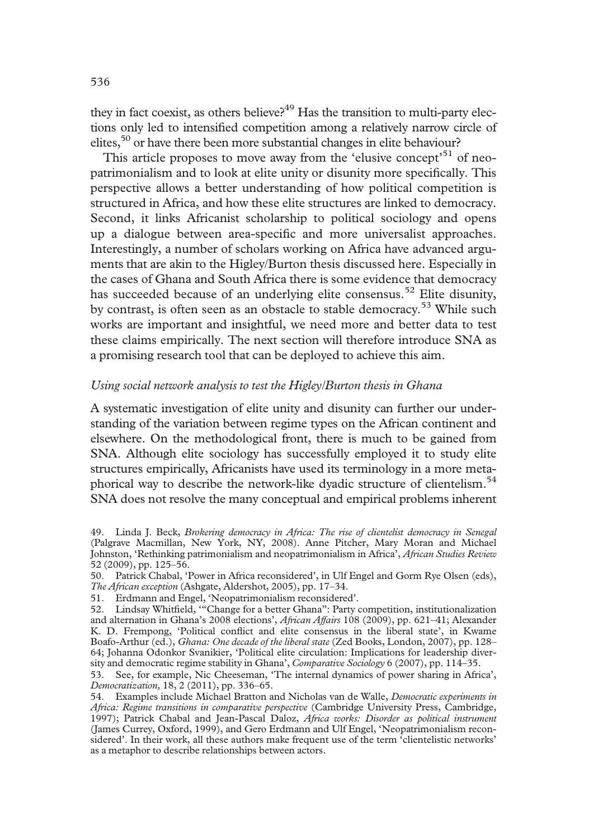they in fact coexist, as others believe?<sup>49</sup> Has the transition to multi-party elections only led to intensified competition among a relatively narrow circle of elites,<sup>50</sup> or have there been more substantial changes in elite behaviour?

This article proposes to move away from the 'elusive concept'<sup>51</sup> of neopatrimonialism and to look at elite unity or disunity more specifically. This perspective allows a better understanding of how political competition is structured in Africa, and how these elite structures are linked to democracy. Second, it links Africanist scholarship to political sociology and opens up a dialogue between area-specific and more universalist approaches. Interestingly, a number of scholars working on Africa have advanced arguments that are akin to the Higley/Burton thesis discussed here. Especially in the cases of Ghana and South Africa there is some evidence that democracy has succeeded because of an underlying elite consensus.<sup>52</sup> Elite disunity, by contrast, is often seen as an obstacle to stable democracy.<sup>53</sup> While such works are important and insightful, we need more and better data to test these claims empirically. The next section will therefore introduce SNA as a promising research tool that can be deployed to achieve this aim.

# *Using social network analysis to test the Higley/Burton thesis in Ghana*

A systematic investigation of elite unity and disunity can further our understanding of the variation between regime types on the African continent and elsewhere. On the methodological front, there is much to be gained from SNA. Although elite sociology has successfully employed it to study elite structures empirically, Africanists have used its terminology in a more metaphorical way to describe the network-like dyadic structure of clientelism.<sup>54</sup> SNA does not resolve the many conceptual and empirical problems inherent

<sup>49.</sup> Linda J. Beck, *Brokering democracy in Africa: The rise of clientelist democracy in Senegal* (Palgrave Macmillan, New York, NY, 2008). Anne Pitcher, Mary Moran and Michael Johnston, 'Rethinking patrimonialism and neopatrimonialism in Africa', *African Studies Review* 52 (2009), pp. 125–56.

<sup>50.</sup> Patrick Chabal, 'Power in Africa reconsidered', in Ulf Engel and Gorm Rye Olsen (eds), *The African exception* (Ashgate, Aldershot, 2005), pp. 17–34.

<sup>51.</sup> Erdmann and Engel, 'Neopatrimonialism reconsidered'.

<sup>52.</sup> Lindsay Whitfield, "Change for a better Ghana": Party competition, institutionalization and alternation in Ghana's 2008 elections', *African Affairs* 108 (2009), pp. 621–41; Alexander K. D. Frempong, 'Political conflict and elite consensus in the liberal state', in Kwame Boafo-Arthur (ed.), *Ghana: One decade of the liberal state* (Zed Books, London, 2007), pp. 128– 64; Johanna Odonkor Svanikier, 'Political elite circulation: Implications for leadership diversity and democratic regime stability in Ghana', *Comparative Sociology* 6 (2007), pp. 114–35.

<sup>53.</sup> See, for example, Nic Cheeseman, 'The internal dynamics of power sharing in Africa', *Democratization,* 18, 2 (2011), pp. 336–65.

<sup>54.</sup> Examples include Michael Bratton and Nicholas van de Walle, *Democratic experiments in Africa: Regime transitions in comparative perspective* (Cambridge University Press, Cambridge, 1997); Patrick Chabal and Jean-Pascal Daloz, *Africa works: Disorder as political instrument* (James Currey, Oxford, 1999), and Gero Erdmann and Ulf Engel, 'Neopatrimonialism reconsidered'. In their work, all these authors make frequent use of the term 'clientelistic networks' as a metaphor to describe relationships between actors.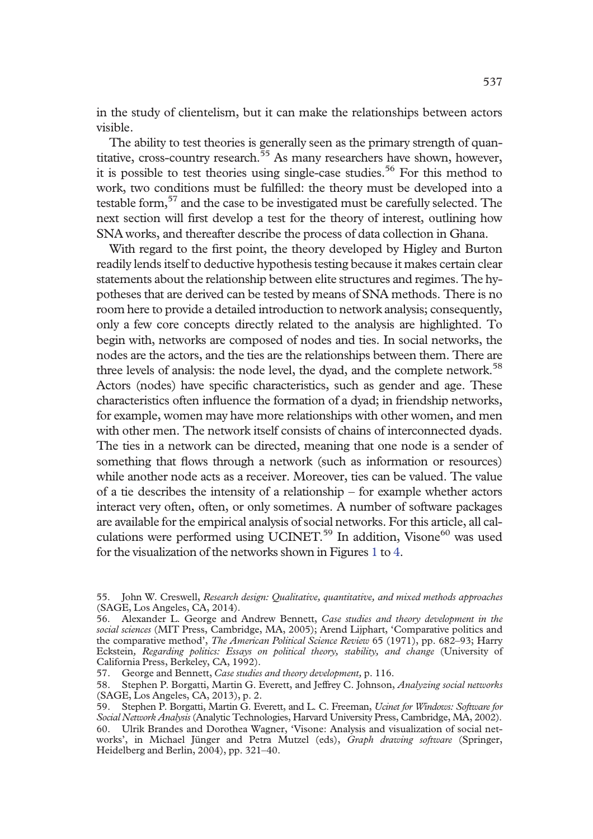in the study of clientelism, but it can make the relationships between actors visible.

The ability to test theories is generally seen as the primary strength of quantitative, cross-country research.<sup>55</sup> As many researchers have shown, however, it is possible to test theories using single-case studies.<sup>56</sup> For this method to work, two conditions must be fulfilled: the theory must be developed into a testable form,<sup>57</sup> and the case to be investigated must be carefully selected. The next section will first develop a test for the theory of interest, outlining how SNA works, and thereafter describe the process of data collection in Ghana.

With regard to the first point, the theory developed by Higley and Burton readily lends itself to deductive hypothesis testing because it makes certain clear statements about the relationship between elite structures and regimes. The hypotheses that are derived can be tested by means of SNA methods. There is no room here to provide a detailed introduction to network analysis; consequently, only a few core concepts directly related to the analysis are highlighted. To begin with, networks are composed of nodes and ties. In social networks, the nodes are the actors, and the ties are the relationships between them. There are three levels of analysis: the node level, the dyad, and the complete network.<sup>58</sup> Actors (nodes) have specific characteristics, such as gender and age. These characteristics often influence the formation of a dyad; in friendship networks, for example, women may have more relationships with other women, and men with other men. The network itself consists of chains of interconnected dyads. The ties in a network can be directed, meaning that one node is a sender of something that flows through a network (such as information or resources) while another node acts as a receiver. Moreover, ties can be valued. The value of a tie describes the intensity of a relationship – for example whether actors interact very often, often, or only sometimes. A number of software packages are available for the empirical analysis of social networks. For this article, all calculations were performed using UCINET.<sup>59</sup> In addition, Visone<sup>60</sup> was used for the visualization of the networks shown in Figures 1 to 4.

<sup>55.</sup> John W. Creswell, *Research design: Qualitative, quantitative, and mixed methods approaches* (SAGE, Los Angeles, CA, 2014).

<sup>56.</sup> Alexander L. George and Andrew Bennett, *Case studies and theory development in the social sciences* (MIT Press, Cambridge, MA, 2005); Arend Lijphart, 'Comparative politics and the comparative method', *The American Political Science Review* 65 (1971), pp. 682–93; Harry Eckstein*, Regarding politics: Essays on political theory, stability, and change* (University of California Press, Berkeley, CA, 1992).

<sup>57.</sup> George and Bennett, *Case studies and theory development,* p. 116.

<sup>58.</sup> Stephen P. Borgatti, Martin G. Everett, and Jeffrey C. Johnson, *Analyzing social networks* (SAGE, Los Angeles, CA, 2013), p. 2.

<sup>59.</sup> Stephen P. Borgatti, Martin G. Everett, and L. C. Freeman, *Ucinet for Windows: Software for Social Network Analysis*(Analytic Technologies, Harvard University Press, Cambridge, MA, 2002). 60. Ulrik Brandes and Dorothea Wagner, 'Visone: Analysis and visualization of social networks', in Michael Jünger and Petra Mutzel (eds), *Graph drawing software* (Springer, Heidelberg and Berlin, 2004), pp. 321–40.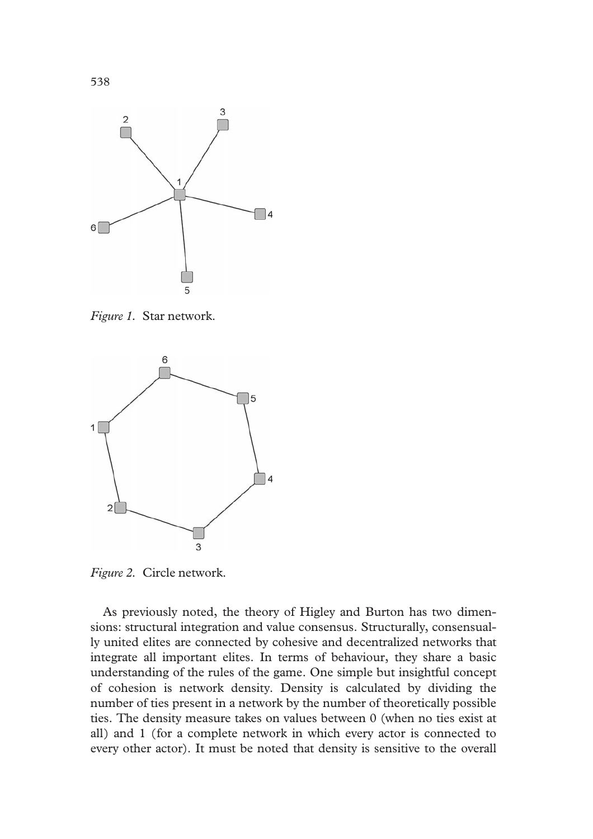

*Figure 1.* Star network.



*Figure 2.* Circle network.

As previously noted, the theory of Higley and Burton has two dimensions: structural integration and value consensus. Structurally, consensually united elites are connected by cohesive and decentralized networks that integrate all important elites. In terms of behaviour, they share a basic understanding of the rules of the game. One simple but insightful concept of cohesion is network density. Density is calculated by dividing the number of ties present in a network by the number of theoretically possible ties. The density measure takes on values between 0 (when no ties exist at all) and 1 ( for a complete network in which every actor is connected to every other actor). It must be noted that density is sensitive to the overall

538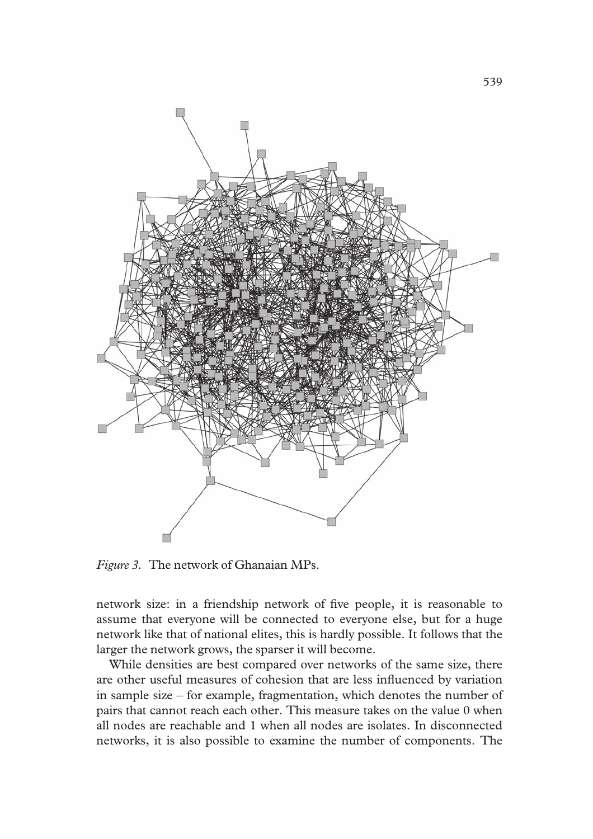

*Figure 3.* The network of Ghanaian MPs.

network size: in a friendship network of five people, it is reasonable to assume that everyone will be connected to everyone else, but for a huge network like that of national elites, this is hardly possible. It follows that the larger the network grows, the sparser it will become.

While densities are best compared over networks of the same size, there are other useful measures of cohesion that are less influenced by variation in sample size – for example, fragmentation, which denotes the number of pairs that cannot reach each other. This measure takes on the value 0 when all nodes are reachable and 1 when all nodes are isolates. In disconnected networks, it is also possible to examine the number of components. The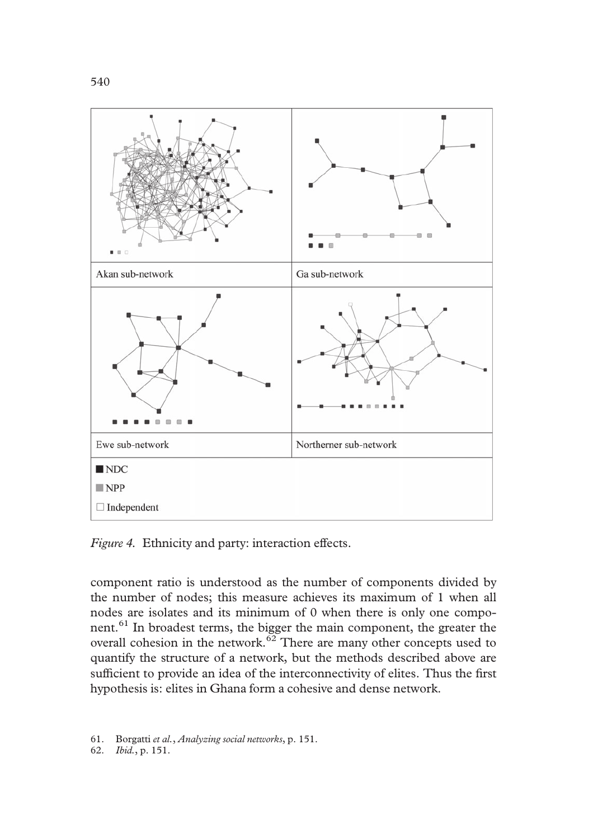

*Figure 4.* Ethnicity and party: interaction effects.

component ratio is understood as the number of components divided by the number of nodes; this measure achieves its maximum of 1 when all nodes are isolates and its minimum of 0 when there is only one component.<sup>61</sup> In broadest terms, the bigger the main component, the greater the overall cohesion in the network.<sup>62</sup> There are many other concepts used to quantify the structure of a network, but the methods described above are sufficient to provide an idea of the interconnectivity of elites. Thus the first hypothesis is: elites in Ghana form a cohesive and dense network.

62. *Ibid.*, p. 151.

<sup>61.</sup> Borgatti *et al.*, *Analyzing social networks*, p. 151.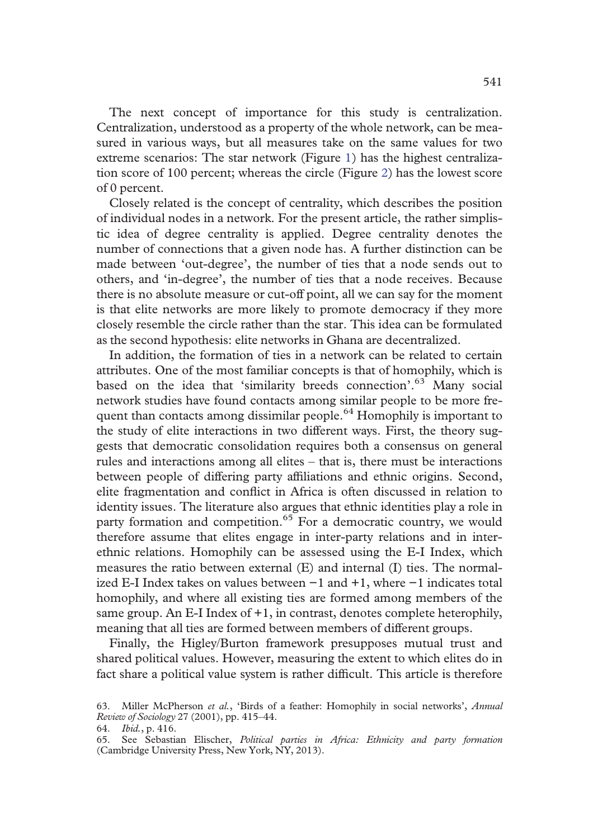The next concept of importance for this study is centralization. Centralization, understood as a property of the whole network, can be measured in various ways, but all measures take on the same values for two extreme scenarios: The star network (Figure 1) has the highest centralization score of 100 percent; whereas the circle (Figure 2) has the lowest score of 0 percent.

Closely related is the concept of centrality, which describes the position of individual nodes in a network. For the present article, the rather simplistic idea of degree centrality is applied. Degree centrality denotes the number of connections that a given node has. A further distinction can be made between 'out-degree', the number of ties that a node sends out to others, and 'in-degree', the number of ties that a node receives. Because there is no absolute measure or cut-off point, all we can say for the moment is that elite networks are more likely to promote democracy if they more closely resemble the circle rather than the star. This idea can be formulated as the second hypothesis: elite networks in Ghana are decentralized.

In addition, the formation of ties in a network can be related to certain attributes. One of the most familiar concepts is that of homophily, which is based on the idea that 'similarity breeds connection'.<sup>63</sup> Many social network studies have found contacts among similar people to be more frequent than contacts among dissimilar people.<sup>64</sup> Homophily is important to the study of elite interactions in two different ways. First, the theory suggests that democratic consolidation requires both a consensus on general rules and interactions among all elites – that is, there must be interactions between people of differing party affiliations and ethnic origins. Second, elite fragmentation and conflict in Africa is often discussed in relation to identity issues. The literature also argues that ethnic identities play a role in party formation and competition.<sup>65</sup> For a democratic country, we would therefore assume that elites engage in inter-party relations and in interethnic relations. Homophily can be assessed using the E-I Index, which measures the ratio between external (E) and internal (I) ties. The normalized E-I Index takes on values between −1 and +1, where −1 indicates total homophily, and where all existing ties are formed among members of the same group. An E-I Index of  $+1$ , in contrast, denotes complete heterophily, meaning that all ties are formed between members of different groups.

Finally, the Higley/Burton framework presupposes mutual trust and shared political values. However, measuring the extent to which elites do in fact share a political value system is rather difficult. This article is therefore

<sup>63.</sup> Miller McPherson *et al.*, 'Birds of a feather: Homophily in social networks', *Annual Review of Sociology* 27 (2001), pp. 415–44.

<sup>64.</sup> *Ibid.*, p. 416.

<sup>65.</sup> See Sebastian Elischer, *Political parties in Africa: Ethnicity and party formation* (Cambridge University Press, New York, NY, 2013).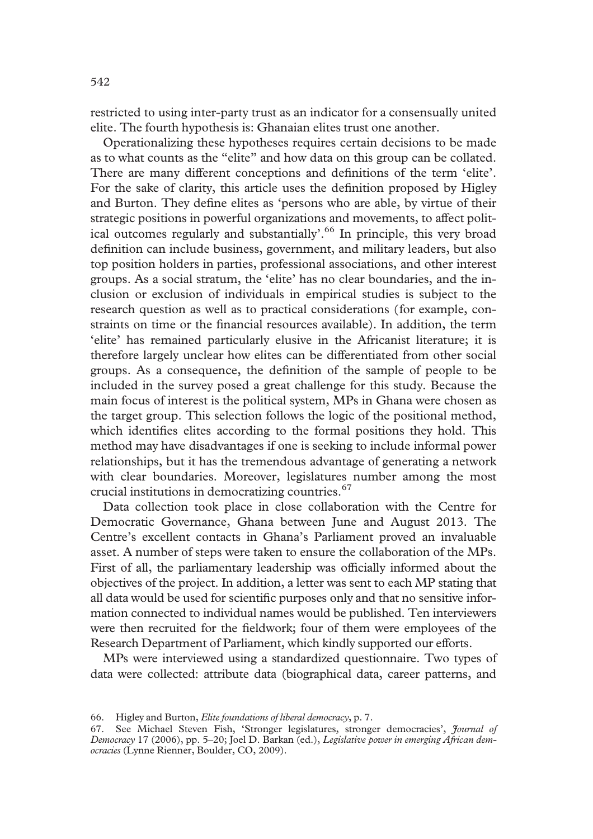restricted to using inter-party trust as an indicator for a consensually united elite. The fourth hypothesis is: Ghanaian elites trust one another.

Operationalizing these hypotheses requires certain decisions to be made as to what counts as the "elite" and how data on this group can be collated. There are many different conceptions and definitions of the term 'elite'. For the sake of clarity, this article uses the definition proposed by Higley and Burton. They define elites as 'persons who are able, by virtue of their strategic positions in powerful organizations and movements, to affect political outcomes regularly and substantially'. <sup>66</sup> In principle, this very broad definition can include business, government, and military leaders, but also top position holders in parties, professional associations, and other interest groups. As a social stratum, the 'elite' has no clear boundaries, and the inclusion or exclusion of individuals in empirical studies is subject to the research question as well as to practical considerations (for example, constraints on time or the financial resources available). In addition, the term 'elite' has remained particularly elusive in the Africanist literature; it is therefore largely unclear how elites can be differentiated from other social groups. As a consequence, the definition of the sample of people to be included in the survey posed a great challenge for this study. Because the main focus of interest is the political system, MPs in Ghana were chosen as the target group. This selection follows the logic of the positional method, which identifies elites according to the formal positions they hold. This method may have disadvantages if one is seeking to include informal power relationships, but it has the tremendous advantage of generating a network with clear boundaries. Moreover, legislatures number among the most crucial institutions in democratizing countries.<sup>67</sup>

Data collection took place in close collaboration with the Centre for Democratic Governance, Ghana between June and August 2013. The Centre's excellent contacts in Ghana's Parliament proved an invaluable asset. A number of steps were taken to ensure the collaboration of the MPs. First of all, the parliamentary leadership was officially informed about the objectives of the project. In addition, a letter was sent to each MP stating that all data would be used for scientific purposes only and that no sensitive information connected to individual names would be published. Ten interviewers were then recruited for the fieldwork; four of them were employees of the Research Department of Parliament, which kindly supported our efforts.

MPs were interviewed using a standardized questionnaire. Two types of data were collected: attribute data (biographical data, career patterns, and

<sup>66.</sup> Higley and Burton, *Elite foundations of liberal democracy*, p. 7.

<sup>67.</sup> See Michael Steven Fish, 'Stronger legislatures, stronger democracies', *Journal of Democracy* 17 (2006), pp. 5–20; Joel D. Barkan (ed.), *Legislative power in emerging African democracies* (Lynne Rienner, Boulder, CO, 2009).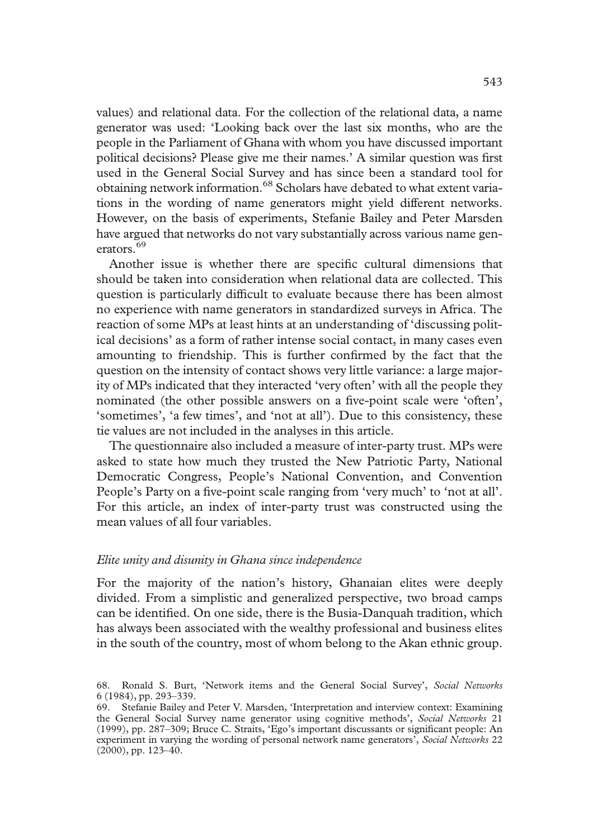values) and relational data. For the collection of the relational data, a name generator was used: 'Looking back over the last six months, who are the people in the Parliament of Ghana with whom you have discussed important political decisions? Please give me their names.' A similar question was first used in the General Social Survey and has since been a standard tool for obtaining network information.<sup>68</sup> Scholars have debated to what extent variations in the wording of name generators might yield different networks. However, on the basis of experiments, Stefanie Bailey and Peter Marsden have argued that networks do not vary substantially across various name generators.<sup>69</sup>

Another issue is whether there are specific cultural dimensions that should be taken into consideration when relational data are collected. This question is particularly difficult to evaluate because there has been almost no experience with name generators in standardized surveys in Africa. The reaction of some MPs at least hints at an understanding of 'discussing political decisions' as a form of rather intense social contact, in many cases even amounting to friendship. This is further confirmed by the fact that the question on the intensity of contact shows very little variance: a large majority of MPs indicated that they interacted 'very often' with all the people they nominated (the other possible answers on a five-point scale were 'often', 'sometimes', 'a few times', and 'not at all'). Due to this consistency, these tie values are not included in the analyses in this article.

The questionnaire also included a measure of inter-party trust. MPs were asked to state how much they trusted the New Patriotic Party, National Democratic Congress, People's National Convention, and Convention People's Party on a five-point scale ranging from 'very much' to 'not at all'. For this article, an index of inter-party trust was constructed using the mean values of all four variables.

#### *Elite unity and disunity in Ghana since independence*

For the majority of the nation's history, Ghanaian elites were deeply divided. From a simplistic and generalized perspective, two broad camps can be identified. On one side, there is the Busia-Danquah tradition, which has always been associated with the wealthy professional and business elites in the south of the country, most of whom belong to the Akan ethnic group.

<sup>68.</sup> Ronald S. Burt, 'Network items and the General Social Survey', *Social Networks* 6 (1984), pp. 293–339.

<sup>69.</sup> Stefanie Bailey and Peter V. Marsden, 'Interpretation and interview context: Examining the General Social Survey name generator using cognitive methods', *Social Networks* 21 (1999), pp. 287–309; Bruce C. Straits, 'Ego's important discussants or significant people: An experiment in varying the wording of personal network name generators', *Social Networks* 22 (2000), pp. 123–40.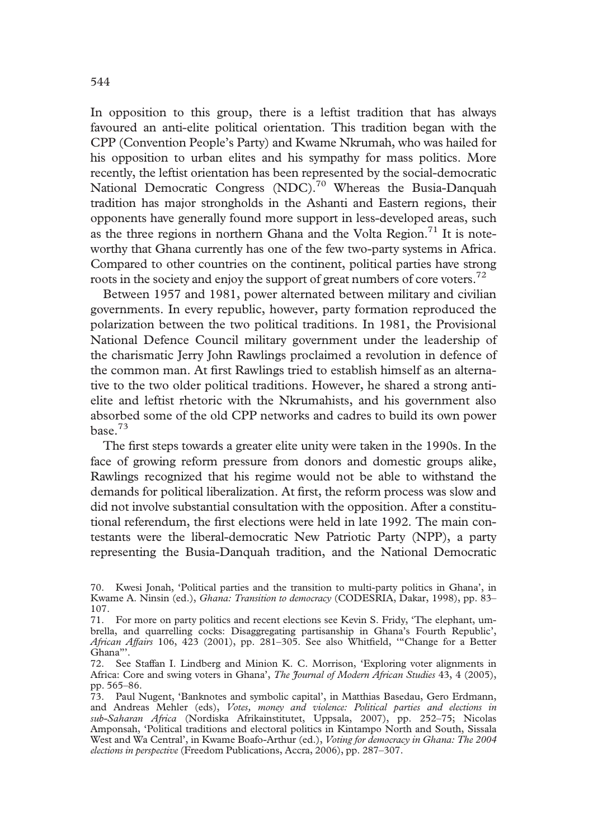In opposition to this group, there is a leftist tradition that has always favoured an anti-elite political orientation. This tradition began with the CPP (Convention People's Party) and Kwame Nkrumah, who was hailed for his opposition to urban elites and his sympathy for mass politics. More recently, the leftist orientation has been represented by the social-democratic National Democratic Congress (NDC).<sup>70</sup> Whereas the Busia-Danquah tradition has major strongholds in the Ashanti and Eastern regions, their opponents have generally found more support in less-developed areas, such as the three regions in northern Ghana and the Volta Region.<sup>71</sup> It is noteworthy that Ghana currently has one of the few two-party systems in Africa. Compared to other countries on the continent, political parties have strong roots in the society and enjoy the support of great numbers of core voters.<sup>72</sup>

Between 1957 and 1981, power alternated between military and civilian governments. In every republic, however, party formation reproduced the polarization between the two political traditions. In 1981, the Provisional National Defence Council military government under the leadership of the charismatic Jerry John Rawlings proclaimed a revolution in defence of the common man. At first Rawlings tried to establish himself as an alternative to the two older political traditions. However, he shared a strong antielite and leftist rhetoric with the Nkrumahists, and his government also absorbed some of the old CPP networks and cadres to build its own power base.<sup>73</sup>

The first steps towards a greater elite unity were taken in the 1990s. In the face of growing reform pressure from donors and domestic groups alike, Rawlings recognized that his regime would not be able to withstand the demands for political liberalization. At first, the reform process was slow and did not involve substantial consultation with the opposition. After a constitutional referendum, the first elections were held in late 1992. The main contestants were the liberal-democratic New Patriotic Party (NPP), a party representing the Busia-Danquah tradition, and the National Democratic

<sup>70.</sup> Kwesi Jonah, 'Political parties and the transition to multi-party politics in Ghana', in Kwame A. Ninsin (ed.), *Ghana: Transition to democracy* (CODESRIA, Dakar, 1998), pp. 83– 107.

<sup>71.</sup> For more on party politics and recent elections see Kevin S. Fridy, 'The elephant, umbrella, and quarrelling cocks: Disaggregating partisanship in Ghana's Fourth Republic', *African Affairs* 106, 423 (2001), pp. 281–305. See also Whitfield, "Change for a Better Ghana"'.

<sup>72.</sup> See Staffan I. Lindberg and Minion K. C. Morrison, 'Exploring voter alignments in Africa: Core and swing voters in Ghana', *The Journal of Modern African Studies* 43, 4 (2005), pp. 565–86.

<sup>73.</sup> Paul Nugent, 'Banknotes and symbolic capital', in Matthias Basedau, Gero Erdmann, and Andreas Mehler (eds), *Votes, money and violence: Political parties and elections in sub-Saharan Africa* (Nordiska Afrikainstitutet, Uppsala, 2007), pp. 252–75; Nicolas Amponsah, 'Political traditions and electoral politics in Kintampo North and South, Sissala West and Wa Central', in Kwame Boafo-Arthur (ed.), *Voting for democracy in Ghana: The 2004 elections in perspective* (Freedom Publications, Accra, 2006), pp. 287–307.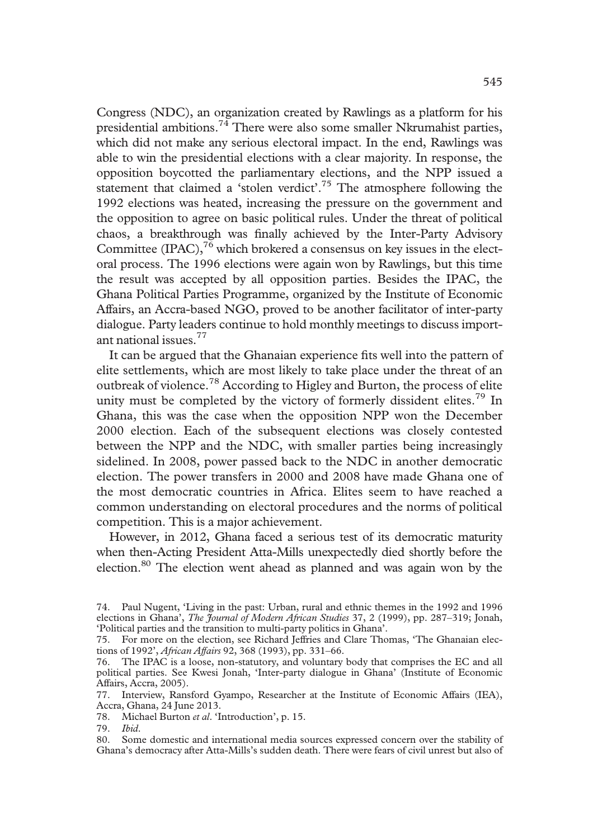Congress (NDC), an organization created by Rawlings as a platform for his presidential ambitions.<sup>74</sup> There were also some smaller Nkrumahist parties, which did not make any serious electoral impact. In the end, Rawlings was able to win the presidential elections with a clear majority. In response, the opposition boycotted the parliamentary elections, and the NPP issued a statement that claimed a 'stolen verdict'.<sup>75</sup> The atmosphere following the 1992 elections was heated, increasing the pressure on the government and the opposition to agree on basic political rules. Under the threat of political chaos, a breakthrough was finally achieved by the Inter-Party Advisory Committee  $(IPAC)$ ,  $^{76}$  which brokered a consensus on key issues in the electoral process. The 1996 elections were again won by Rawlings, but this time the result was accepted by all opposition parties. Besides the IPAC, the Ghana Political Parties Programme, organized by the Institute of Economic Affairs, an Accra-based NGO, proved to be another facilitator of inter-party dialogue. Party leaders continue to hold monthly meetings to discuss important national issues.<sup>77</sup>

It can be argued that the Ghanaian experience fits well into the pattern of elite settlements, which are most likely to take place under the threat of an outbreak of violence.<sup>78</sup> According to Higley and Burton, the process of elite unity must be completed by the victory of formerly dissident elites.<sup>79</sup> In Ghana, this was the case when the opposition NPP won the December 2000 election. Each of the subsequent elections was closely contested between the NPP and the NDC, with smaller parties being increasingly sidelined. In 2008, power passed back to the NDC in another democratic election. The power transfers in 2000 and 2008 have made Ghana one of the most democratic countries in Africa. Elites seem to have reached a common understanding on electoral procedures and the norms of political competition. This is a major achievement.

However, in 2012, Ghana faced a serious test of its democratic maturity when then-Acting President Atta-Mills unexpectedly died shortly before the election.<sup>80</sup> The election went ahead as planned and was again won by the

<sup>74.</sup> Paul Nugent, 'Living in the past: Urban, rural and ethnic themes in the 1992 and 1996 elections in Ghana', *The Journal of Modern African Studies* 37, 2 (1999), pp. 287–319; Jonah, 'Political parties and the transition to multi-party politics in Ghana'.

<sup>75.</sup> For more on the election, see Richard Jeffries and Clare Thomas, 'The Ghanaian elections of 1992', *African Affairs* 92, 368 (1993), pp. 331–66.

<sup>76.</sup> The IPAC is a loose, non-statutory, and voluntary body that comprises the EC and all political parties. See Kwesi Jonah, 'Inter-party dialogue in Ghana' (Institute of Economic Affairs, Accra, 2005).

<sup>77.</sup> Interview, Ransford Gyampo, Researcher at the Institute of Economic Affairs (IEA), Accra, Ghana, 24 June 2013.

<sup>78.</sup> Michael Burton *et al*. 'Introduction', p. 15.

<sup>79.</sup> *Ibid*.

<sup>80.</sup> Some domestic and international media sources expressed concern over the stability of Ghana's democracy after Atta-Mills's sudden death. There were fears of civil unrest but also of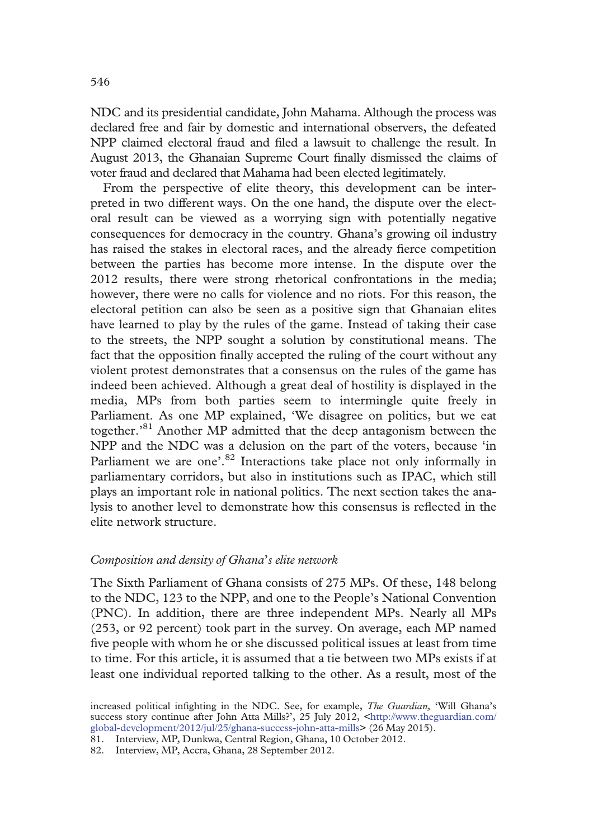NDC and its presidential candidate, John Mahama. Although the process was declared free and fair by domestic and international observers, the defeated NPP claimed electoral fraud and filed a lawsuit to challenge the result. In August 2013, the Ghanaian Supreme Court finally dismissed the claims of voter fraud and declared that Mahama had been elected legitimately.

From the perspective of elite theory, this development can be interpreted in two different ways. On the one hand, the dispute over the electoral result can be viewed as a worrying sign with potentially negative consequences for democracy in the country. Ghana's growing oil industry has raised the stakes in electoral races, and the already fierce competition between the parties has become more intense. In the dispute over the 2012 results, there were strong rhetorical confrontations in the media; however, there were no calls for violence and no riots. For this reason, the electoral petition can also be seen as a positive sign that Ghanaian elites have learned to play by the rules of the game. Instead of taking their case to the streets, the NPP sought a solution by constitutional means. The fact that the opposition finally accepted the ruling of the court without any violent protest demonstrates that a consensus on the rules of the game has indeed been achieved. Although a great deal of hostility is displayed in the media, MPs from both parties seem to intermingle quite freely in Parliament. As one MP explained, 'We disagree on politics, but we eat together.<sup>81</sup> Another MP admitted that the deep antagonism between the NPP and the NDC was a delusion on the part of the voters, because 'in Parliament we are one'.<sup>82</sup> Interactions take place not only informally in parliamentary corridors, but also in institutions such as IPAC, which still plays an important role in national politics. The next section takes the analysis to another level to demonstrate how this consensus is reflected in the elite network structure.

#### *Composition and density of Ghana*'*s elite network*

The Sixth Parliament of Ghana consists of 275 MPs. Of these, 148 belong to the NDC, 123 to the NPP, and one to the People's National Convention (PNC). In addition, there are three independent MPs. Nearly all MPs (253, or 92 percent) took part in the survey. On average, each MP named five people with whom he or she discussed political issues at least from time to time. For this article, it is assumed that a tie between two MPs exists if at least one individual reported talking to the other. As a result, most of the

<sup>81.</sup> Interview, MP, Dunkwa, Central Region, Ghana, 10 October 2012.

<sup>82.</sup> Interview, MP, Accra, Ghana, 28 September 2012.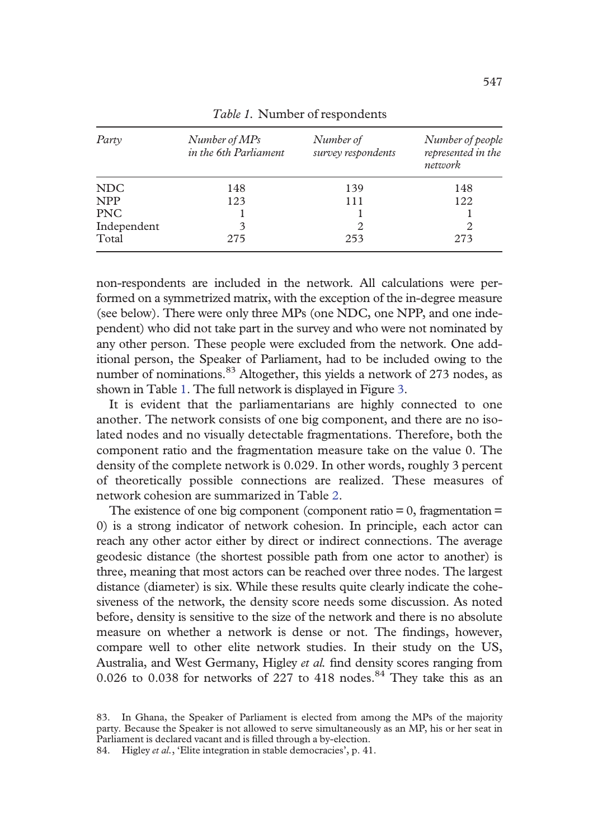| Party       | Number of MPs<br>in the 6th Parliament | Number of<br>survey respondents | Number of people<br>represented in the<br>network |  |
|-------------|----------------------------------------|---------------------------------|---------------------------------------------------|--|
| <b>NDC</b>  | 148                                    | 139                             | 148                                               |  |
| <b>NPP</b>  | 123                                    | 111                             | 122                                               |  |
| <b>PNC</b>  |                                        |                                 |                                                   |  |
| Independent | $\mathcal{Z}$                          | $\mathcal{D}_{\mathcal{L}}$     | $\mathcal{D}_{\mathcal{L}}$                       |  |
| Total       | 275                                    | 253                             | 273                                               |  |

*Table 1.* Number of respondents

non-respondents are included in the network. All calculations were performed on a symmetrized matrix, with the exception of the in-degree measure (see below). There were only three MPs (one NDC, one NPP, and one independent) who did not take part in the survey and who were not nominated by any other person. These people were excluded from the network. One additional person, the Speaker of Parliament, had to be included owing to the number of nominations.<sup>83</sup> Altogether, this yields a network of 273 nodes, as shown in Table 1. The full network is displayed in Figure 3.

It is evident that the parliamentarians are highly connected to one another. The network consists of one big component, and there are no isolated nodes and no visually detectable fragmentations. Therefore, both the component ratio and the fragmentation measure take on the value 0. The density of the complete network is 0.029. In other words, roughly 3 percent of theoretically possible connections are realized. These measures of network cohesion are summarized in Table 2.

The existence of one big component (component ratio  $= 0$ , fragmentation  $=$ 0) is a strong indicator of network cohesion. In principle, each actor can reach any other actor either by direct or indirect connections. The average geodesic distance (the shortest possible path from one actor to another) is three, meaning that most actors can be reached over three nodes. The largest distance (diameter) is six. While these results quite clearly indicate the cohesiveness of the network, the density score needs some discussion. As noted before, density is sensitive to the size of the network and there is no absolute measure on whether a network is dense or not. The findings, however, compare well to other elite network studies. In their study on the US, Australia, and West Germany, Higley *et al.* find density scores ranging from 0.026 to 0.038 for networks of  $227$  to 418 nodes.<sup>84</sup> They take this as an

<sup>83.</sup> In Ghana, the Speaker of Parliament is elected from among the MPs of the majority party. Because the Speaker is not allowed to serve simultaneously as an MP, his or her seat in Parliament is declared vacant and is filled through a by-election.

<sup>84.</sup> Higley *et al.*, 'Elite integration in stable democracies', p. 41.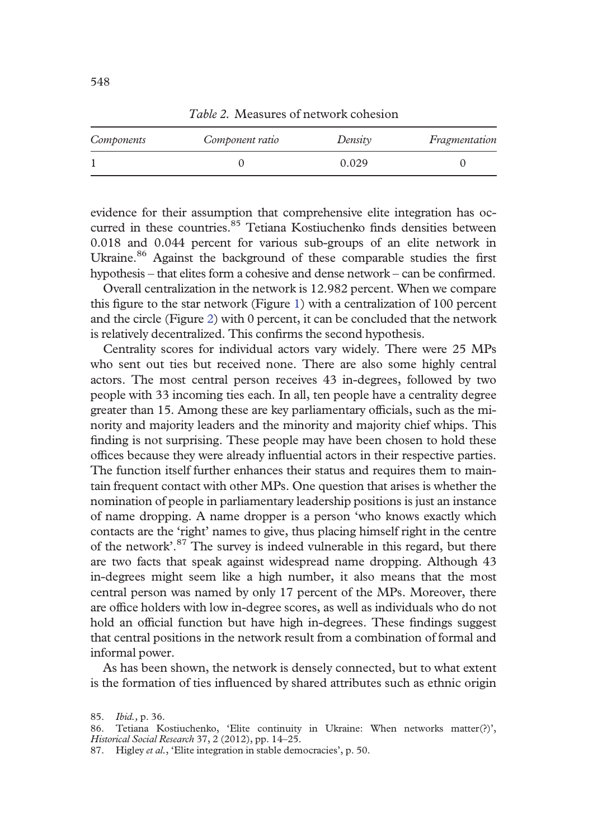| 0.029 | Components | Component ratio | Density | Fragmentation |  |
|-------|------------|-----------------|---------|---------------|--|
|       |            |                 |         |               |  |

*Table 2.* Measures of network cohesion

evidence for their assumption that comprehensive elite integration has occurred in these countries.<sup>85</sup> Tetiana Kostiuchenko finds densities between 0.018 and 0.044 percent for various sub-groups of an elite network in Ukraine.<sup>86</sup> Against the background of these comparable studies the first hypothesis – that elites form a cohesive and dense network – can be confirmed.

Overall centralization in the network is 12.982 percent. When we compare this figure to the star network (Figure 1) with a centralization of  $100$  percent and the circle (Figure 2) with 0 percent, it can be concluded that the network is relatively decentralized. This confirms the second hypothesis.

Centrality scores for individual actors vary widely. There were 25 MPs who sent out ties but received none. There are also some highly central actors. The most central person receives 43 in-degrees, followed by two people with 33 incoming ties each. In all, ten people have a centrality degree greater than 15. Among these are key parliamentary officials, such as the minority and majority leaders and the minority and majority chief whips. This finding is not surprising. These people may have been chosen to hold these offices because they were already influential actors in their respective parties. The function itself further enhances their status and requires them to maintain frequent contact with other MPs. One question that arises is whether the nomination of people in parliamentary leadership positions is just an instance of name dropping. A name dropper is a person 'who knows exactly which contacts are the 'right' names to give, thus placing himself right in the centre of the network'. <sup>87</sup> The survey is indeed vulnerable in this regard, but there are two facts that speak against widespread name dropping. Although 43 in-degrees might seem like a high number, it also means that the most central person was named by only 17 percent of the MPs. Moreover, there are office holders with low in-degree scores, as well as individuals who do not hold an official function but have high in-degrees. These findings suggest that central positions in the network result from a combination of formal and informal power.

As has been shown, the network is densely connected, but to what extent is the formation of ties influenced by shared attributes such as ethnic origin

<sup>85.</sup> *Ibid.,* p. 36.

<sup>86.</sup> Tetiana Kostiuchenko, 'Elite continuity in Ukraine: When networks matter(?)', *Historical Social Research* 37, 2 (2012), pp. 14–25.

<sup>87.</sup> Higley *et al.*, 'Elite integration in stable democracies', p. 50.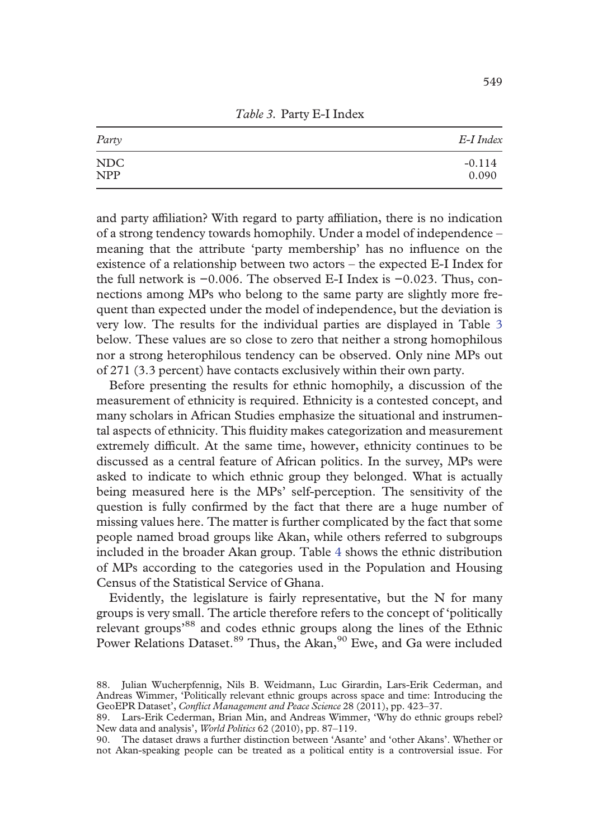*Table 3.* Party E-I Index

| Party      | E-I Index |
|------------|-----------|
| NDC        | $-0.114$  |
| <b>NPP</b> | 0.090     |

and party affiliation? With regard to party affiliation, there is no indication of a strong tendency towards homophily. Under a model of independence – meaning that the attribute 'party membership' has no influence on the existence of a relationship between two actors – the expected E-I Index for the full network is −0.006. The observed E-I Index is −0.023. Thus, connections among MPs who belong to the same party are slightly more frequent than expected under the model of independence, but the deviation is very low. The results for the individual parties are displayed in Table 3 below. These values are so close to zero that neither a strong homophilous nor a strong heterophilous tendency can be observed. Only nine MPs out of 271 (3.3 percent) have contacts exclusively within their own party.

Before presenting the results for ethnic homophily, a discussion of the measurement of ethnicity is required. Ethnicity is a contested concept, and many scholars in African Studies emphasize the situational and instrumental aspects of ethnicity. This fluidity makes categorization and measurement extremely difficult. At the same time, however, ethnicity continues to be discussed as a central feature of African politics. In the survey, MPs were asked to indicate to which ethnic group they belonged. What is actually being measured here is the MPs' self-perception. The sensitivity of the question is fully confirmed by the fact that there are a huge number of missing values here. The matter is further complicated by the fact that some people named broad groups like Akan, while others referred to subgroups included in the broader Akan group. Table 4 shows the ethnic distribution of MPs according to the categories used in the Population and Housing Census of the Statistical Service of Ghana.

Evidently, the legislature is fairly representative, but the N for many groups is very small. The article therefore refers to the concept of 'politically relevant groups'<sup>88</sup> and codes ethnic groups along the lines of the Ethnic Power Relations Dataset.<sup>89</sup> Thus, the Akan,<sup>90</sup> Ewe, and Ga were included

<sup>88.</sup> Julian Wucherpfennig, Nils B. Weidmann, Luc Girardin, Lars-Erik Cederman, and Andreas Wimmer, 'Politically relevant ethnic groups across space and time: Introducing the GeoEPR Dataset', *Conflict Management and Peace Science* 28 (2011), pp. 423–37.

<sup>89.</sup> Lars-Erik Cederman, Brian Min, and Andreas Wimmer, 'Why do ethnic groups rebel? New data and analysis', *World Politics* 62 (2010), pp. 87–119.

<sup>90.</sup> The dataset draws a further distinction between 'Asante' and 'other Akans'. Whether or not Akan-speaking people can be treated as a political entity is a controversial issue. For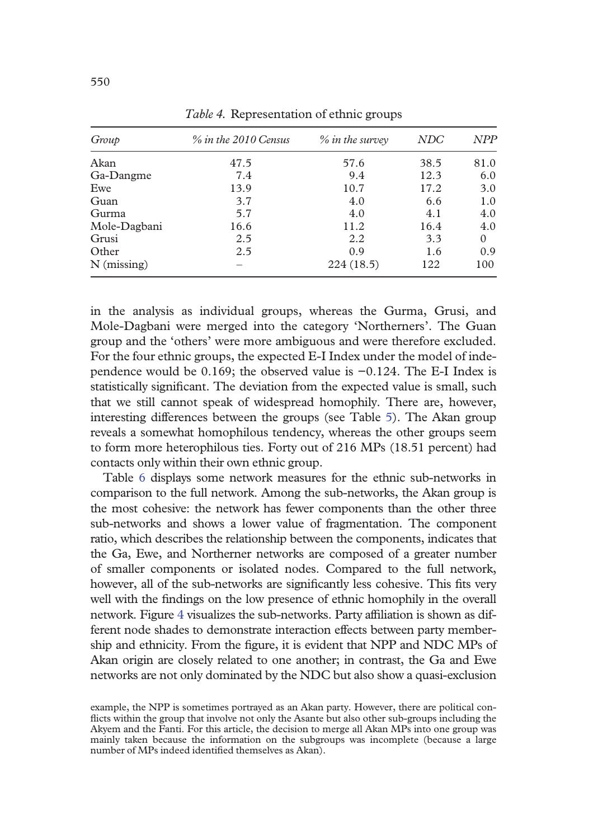| Group         | $%$ in the 2010 Census | % in the survey |      | <b>NPP</b> |  |
|---------------|------------------------|-----------------|------|------------|--|
| Akan          | 47.5                   | 57.6            | 38.5 | 81.0       |  |
| Ga-Dangme     | 7.4                    | 9.4             | 12.3 | 6.0        |  |
| Ewe           | 13.9                   | 10.7            | 17.2 | 3.0        |  |
| Guan          | 3.7                    | 4.0             | 6.6  | 1.0        |  |
| Gurma         | 5.7                    | 4.0             | 4.1  | 4.0        |  |
| Mole-Dagbani  | 16.6                   | 11.2            | 16.4 | 4.0        |  |
| Grusi         | 2.5                    | 2.2             | 3.3  | $\Omega$   |  |
| Other         | 2.5                    | 0.9             | 1.6  | 0.9        |  |
| $N$ (missing) |                        | 224 (18.5)      | 122  | 100        |  |

*Table 4.* Representation of ethnic groups

in the analysis as individual groups, whereas the Gurma, Grusi, and Mole-Dagbani were merged into the category 'Northerners'. The Guan group and the 'others' were more ambiguous and were therefore excluded. For the four ethnic groups, the expected E-I Index under the model of independence would be 0.169; the observed value is −0.124. The E-I Index is statistically significant. The deviation from the expected value is small, such that we still cannot speak of widespread homophily. There are, however, interesting differences between the groups (see Table 5). The Akan group reveals a somewhat homophilous tendency, whereas the other groups seem to form more heterophilous ties. Forty out of 216 MPs (18.51 percent) had contacts only within their own ethnic group.

Table 6 displays some network measures for the ethnic sub-networks in comparison to the full network. Among the sub-networks, the Akan group is the most cohesive: the network has fewer components than the other three sub-networks and shows a lower value of fragmentation. The component ratio, which describes the relationship between the components, indicates that the Ga, Ewe, and Northerner networks are composed of a greater number of smaller components or isolated nodes. Compared to the full network, however, all of the sub-networks are significantly less cohesive. This fits very well with the findings on the low presence of ethnic homophily in the overall network. Figure 4 visualizes the sub-networks. Party affiliation is shown as different node shades to demonstrate interaction effects between party membership and ethnicity. From the figure, it is evident that NPP and NDC MPs of Akan origin are closely related to one another; in contrast, the Ga and Ewe networks are not only dominated by the NDC but also show a quasi-exclusion

example, the NPP is sometimes portrayed as an Akan party. However, there are political conflicts within the group that involve not only the Asante but also other sub-groups including the Akyem and the Fanti. For this article, the decision to merge all Akan MPs into one group was mainly taken because the information on the subgroups was incomplete (because a large number of MPs indeed identified themselves as Akan).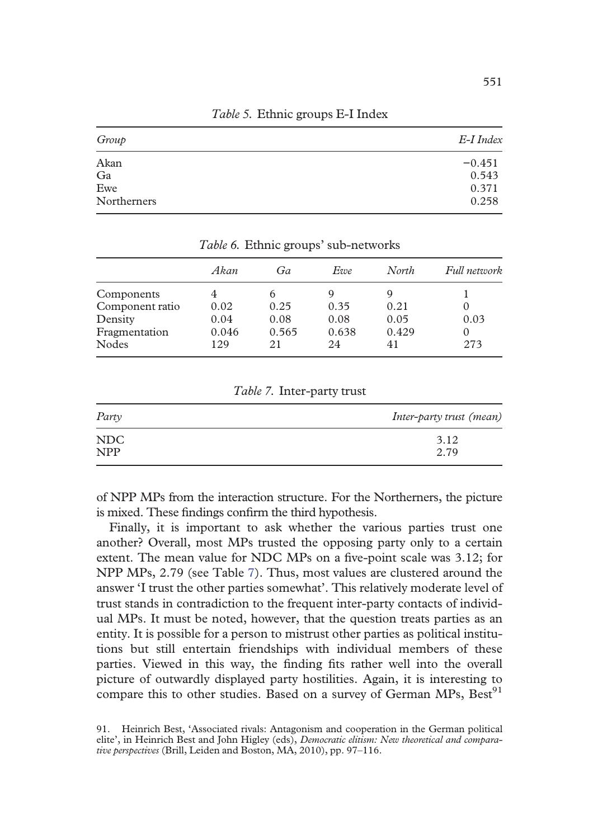| Group       | E-I Index |
|-------------|-----------|
| Akan        | $-0.451$  |
| Ga          | 0.543     |
| Ewe         | 0.371     |
| Northerners | 0.258     |

*Table 5.* Ethnic groups E-I Index

|                 | Akan  | Ga    | Ewe   | North. | Full network |
|-----------------|-------|-------|-------|--------|--------------|
| Components      |       | b     |       |        |              |
| Component ratio | 0.02  | 0.25  | 0.35  | 0.21   |              |
| Density         | 0.04  | 0.08  | 0.08  | 0.05   | 0.03         |
| Fragmentation   | 0.046 | 0.565 | 0.638 | 0.429  |              |
| <b>Nodes</b>    | 129   | 21    | 24    | 41     | 273          |

*Table 6.* Ethnic groups' sub-networks

*Table 7.* Inter-party trust

| Party             | Inter-party trust (mean) |  |  |
|-------------------|--------------------------|--|--|
| NDC<br><b>NPP</b> | 3.12<br>2.79             |  |  |
|                   |                          |  |  |

of NPP MPs from the interaction structure. For the Northerners, the picture is mixed. These findings confirm the third hypothesis.

Finally, it is important to ask whether the various parties trust one another? Overall, most MPs trusted the opposing party only to a certain extent. The mean value for NDC MPs on a five-point scale was 3.12; for NPP MPs, 2.79 (see Table 7). Thus, most values are clustered around the answer 'I trust the other parties somewhat'. This relatively moderate level of trust stands in contradiction to the frequent inter-party contacts of individual MPs. It must be noted, however, that the question treats parties as an entity. It is possible for a person to mistrust other parties as political institutions but still entertain friendships with individual members of these parties. Viewed in this way, the finding fits rather well into the overall picture of outwardly displayed party hostilities. Again, it is interesting to compare this to other studies. Based on a survey of German MPs, Best<sup>91</sup>

<sup>91.</sup> Heinrich Best, 'Associated rivals: Antagonism and cooperation in the German political elite', in Heinrich Best and John Higley (eds), *Democratic elitism: New theoretical and comparative perspectives* (Brill, Leiden and Boston, MA, 2010), pp. 97–116.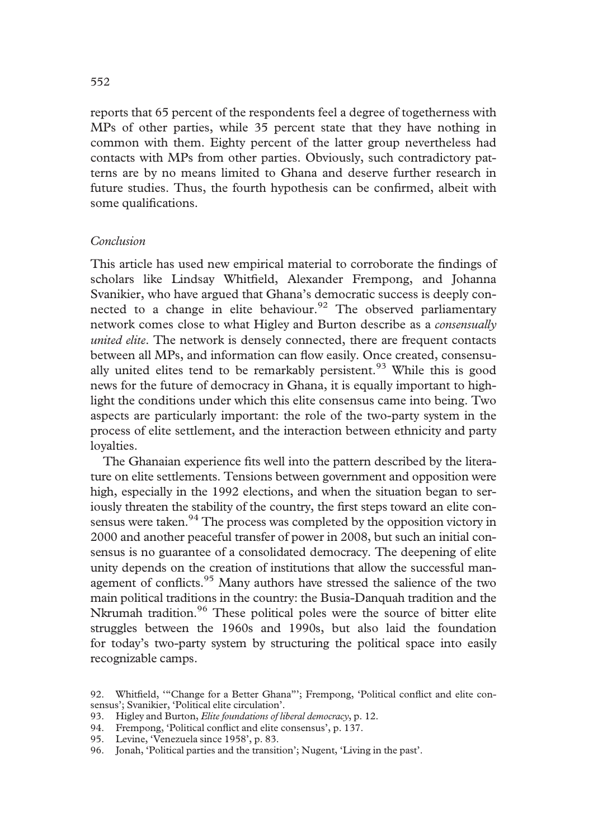reports that 65 percent of the respondents feel a degree of togetherness with MPs of other parties, while 35 percent state that they have nothing in common with them. Eighty percent of the latter group nevertheless had contacts with MPs from other parties. Obviously, such contradictory patterns are by no means limited to Ghana and deserve further research in future studies. Thus, the fourth hypothesis can be confirmed, albeit with some qualifications.

### *Conclusion*

This article has used new empirical material to corroborate the findings of scholars like Lindsay Whitfield, Alexander Frempong, and Johanna Svanikier, who have argued that Ghana's democratic success is deeply connected to a change in elite behaviour.<sup>92</sup> The observed parliamentary network comes close to what Higley and Burton describe as a *consensually united elite*. The network is densely connected, there are frequent contacts between all MPs, and information can flow easily. Once created, consensually united elites tend to be remarkably persistent.<sup>93</sup> While this is good news for the future of democracy in Ghana, it is equally important to highlight the conditions under which this elite consensus came into being. Two aspects are particularly important: the role of the two-party system in the process of elite settlement, and the interaction between ethnicity and party loyalties.

The Ghanaian experience fits well into the pattern described by the literature on elite settlements. Tensions between government and opposition were high, especially in the 1992 elections, and when the situation began to seriously threaten the stability of the country, the first steps toward an elite consensus were taken.<sup>94</sup> The process was completed by the opposition victory in 2000 and another peaceful transfer of power in 2008, but such an initial consensus is no guarantee of a consolidated democracy. The deepening of elite unity depends on the creation of institutions that allow the successful management of conflicts. $95$  Many authors have stressed the salience of the two main political traditions in the country: the Busia-Danquah tradition and the Nkrumah tradition.<sup>96</sup> These political poles were the source of bitter elite struggles between the 1960s and 1990s, but also laid the foundation for today's two-party system by structuring the political space into easily recognizable camps.

- 93. Higley and Burton, *Elite foundations of liberal democracy*, p. 12.
- 94. Frempong, 'Political conflict and elite consensus', p. 137.
- 95. Levine, 'Venezuela since 1958', p. 83.
- 96. Jonah, 'Political parties and the transition'; Nugent, 'Living in the past'.

<sup>92.</sup> Whitfield, "'Change for a Better Ghana"'; Frempong, 'Political conflict and elite consensus'; Svanikier, 'Political elite circulation'.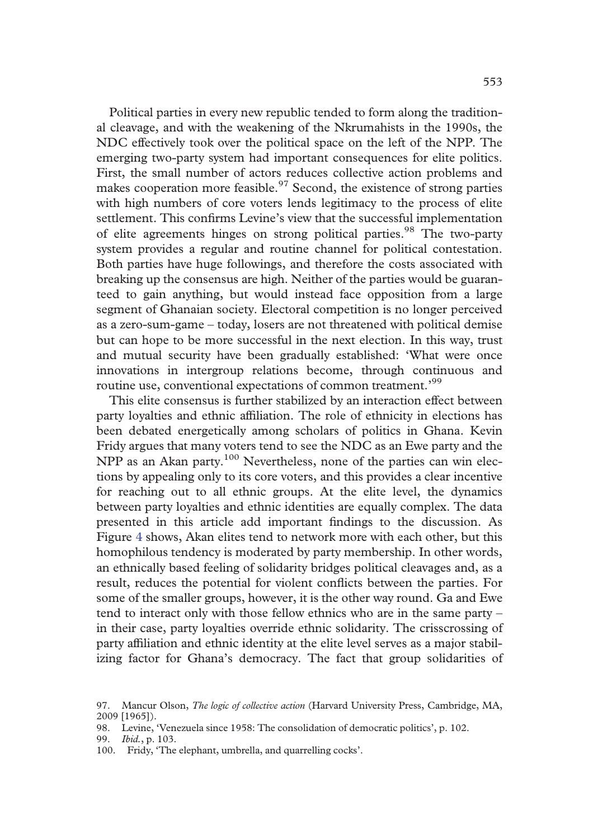Political parties in every new republic tended to form along the traditional cleavage, and with the weakening of the Nkrumahists in the 1990s, the NDC effectively took over the political space on the left of the NPP. The emerging two-party system had important consequences for elite politics. First, the small number of actors reduces collective action problems and makes cooperation more feasible.<sup>97</sup> Second, the existence of strong parties with high numbers of core voters lends legitimacy to the process of elite settlement. This confirms Levine's view that the successful implementation of elite agreements hinges on strong political parties.<sup>98</sup> The two-party system provides a regular and routine channel for political contestation. Both parties have huge followings, and therefore the costs associated with breaking up the consensus are high. Neither of the parties would be guaranteed to gain anything, but would instead face opposition from a large segment of Ghanaian society. Electoral competition is no longer perceived as a zero-sum-game – today, losers are not threatened with political demise but can hope to be more successful in the next election. In this way, trust and mutual security have been gradually established: 'What were once innovations in intergroup relations become, through continuous and routine use, conventional expectations of common treatment.'99

This elite consensus is further stabilized by an interaction effect between party loyalties and ethnic affiliation. The role of ethnicity in elections has been debated energetically among scholars of politics in Ghana. Kevin Fridy argues that many voters tend to see the NDC as an Ewe party and the NPP as an Akan party.<sup>100</sup> Nevertheless, none of the parties can win elections by appealing only to its core voters, and this provides a clear incentive for reaching out to all ethnic groups. At the elite level, the dynamics between party loyalties and ethnic identities are equally complex. The data presented in this article add important findings to the discussion. As Figure 4 shows, Akan elites tend to network more with each other, but this homophilous tendency is moderated by party membership. In other words, an ethnically based feeling of solidarity bridges political cleavages and, as a result, reduces the potential for violent conflicts between the parties. For some of the smaller groups, however, it is the other way round. Ga and Ewe tend to interact only with those fellow ethnics who are in the same party – in their case, party loyalties override ethnic solidarity. The crisscrossing of party affiliation and ethnic identity at the elite level serves as a major stabilizing factor for Ghana's democracy. The fact that group solidarities of

99. *Ibid.*, p. 103.

<sup>97.</sup> Mancur Olson, *The logic of collective action* (Harvard University Press, Cambridge, MA, 2009 [1965]).

<sup>98.</sup> Levine, 'Venezuela since 1958: The consolidation of democratic politics', p. 102.

<sup>100.</sup> Fridy, 'The elephant, umbrella, and quarrelling cocks'.